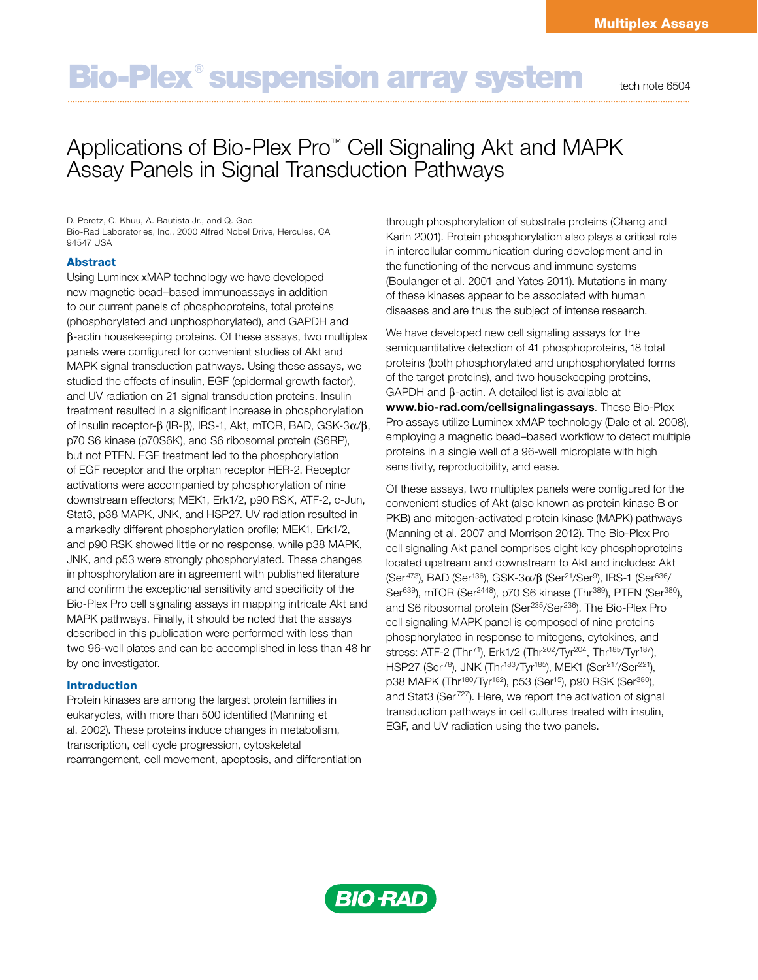# Bio-Plex<sup>®</sup> suspension array system tech note 6504

## Applications of Bio-Plex Pro™ Cell Signaling Akt and MAPK Assay Panels in Signal Transduction Pathways

D. Peretz, C. Khuu, A. Bautista Jr., and Q. Gao Bio-Rad Laboratories, Inc., 2000 Alfred Nobel Drive, Hercules, CA 94547 USA

#### Abstract

Using Luminex xMAP technology we have developed new magnetic bead–based immunoassays in addition to our current panels of phosphoproteins, total proteins (phosphorylated and unphosphorylated), and GAPDH and  $\beta$ -actin housekeeping proteins. Of these assays, two multiplex panels were configured for convenient studies of Akt and MAPK signal transduction pathways. Using these assays, we studied the effects of insulin, EGF (epidermal growth factor), and UV radiation on 21 signal transduction proteins. Insulin treatment resulted in a significant increase in phosphorylation of insulin receptor- $\beta$  (IR- $\beta$ ), IRS-1, Akt, mTOR, BAD, GSK-3 $\alpha/\beta$ , p70 S6 kinase (p70S6K), and S6 ribosomal protein (S6RP), but not PTEN. EGF treatment led to the phosphorylation of EGF receptor and the orphan receptor HER-2. Receptor activations were accompanied by phosphorylation of nine downstream effectors; MEK1, Erk1/2, p90 RSK, ATF-2, c-Jun, Stat3, p38 MAPK, JNK, and HSP27. UV radiation resulted in a markedly different phosphorylation profile; MEK1, Erk1/2, and p90 RSK showed little or no response, while p38 MAPK, JNK, and p53 were strongly phosphorylated. These changes in phosphorylation are in agreement with published literature and confirm the exceptional sensitivity and specificity of the Bio-Plex Pro cell signaling assays in mapping intricate Akt and MAPK pathways. Finally, it should be noted that the assays described in this publication were performed with less than two 96-well plates and can be accomplished in less than 48 hr by one investigator.

#### Introduction

Protein kinases are among the largest protein families in eukaryotes, with more than 500 identified (Manning et al. 2002). These proteins induce changes in metabolism, transcription, cell cycle progression, cytoskeletal rearrangement, cell movement, apoptosis, and differentiation through phosphorylation of substrate proteins (Chang and Karin 2001). Protein phosphorylation also plays a critical role in intercellular communication during development and in the functioning of the nervous and immune systems (Boulanger et al. 2001 and Yates 2011). Mutations in many of these kinases appear to be associated with human diseases and are thus the subject of intense research.

We have developed new cell signaling assays for the semiquantitative detection of 41 phosphoproteins, 18 total proteins (both phosphorylated and unphosphorylated forms of the target proteins), and two housekeeping proteins,  $GAPDH$  and  $\beta$ -actin. A detailed list is available at www.bio-rad.com/cellsignalingassays. These Bio-Plex Pro assays utilize Luminex xMAP technology (Dale et al. 2008), employing a magnetic bead–based workflow to detect multiple proteins in a single well of a 96-well microplate with high sensitivity, reproducibility, and ease.

Of these assays, two multiplex panels were configured for the convenient studies of Akt (also known as protein kinase B or PKB) and mitogen-activated protein kinase (MAPK) pathways (Manning et al. 2007 and Morrison 2012). The Bio-Plex Pro cell signaling Akt panel comprises eight key phosphoproteins located upstream and downstream to Akt and includes: Akt (Ser<sup>473</sup>), BAD (Ser<sup>136</sup>), GSK-3 $\alpha$ / $\beta$  (Ser<sup>21</sup>/Ser<sup>9</sup>), IRS-1 (Ser<sup>636</sup>/ Ser<sup>639</sup>), mTOR (Ser<sup>2448</sup>), p70 S6 kinase (Thr<sup>389</sup>), PTEN (Ser<sup>380</sup>), and S6 ribosomal protein (Ser<sup>235</sup>/Ser<sup>236</sup>). The Bio-Plex Pro cell signaling MAPK panel is composed of nine proteins phosphorylated in response to mitogens, cytokines, and stress: ATF-2 (Thr<sup>71</sup>), Erk1/2 (Thr<sup>202</sup>/Tyr<sup>204</sup>, Thr<sup>185</sup>/Tyr<sup>187</sup>), HSP27 (Ser<sup>78</sup>), JNK (Thr<sup>183</sup>/Tyr<sup>185</sup>), MEK1 (Ser<sup>217</sup>/Ser<sup>221</sup>), p38 MAPK (Thr<sup>180</sup>/Tyr<sup>182</sup>), p53 (Ser<sup>15</sup>), p90 RSK (Ser<sup>380</sup>), and Stat3 (Ser<sup>727</sup>). Here, we report the activation of signal transduction pathways in cell cultures treated with insulin, EGF, and UV radiation using the two panels.

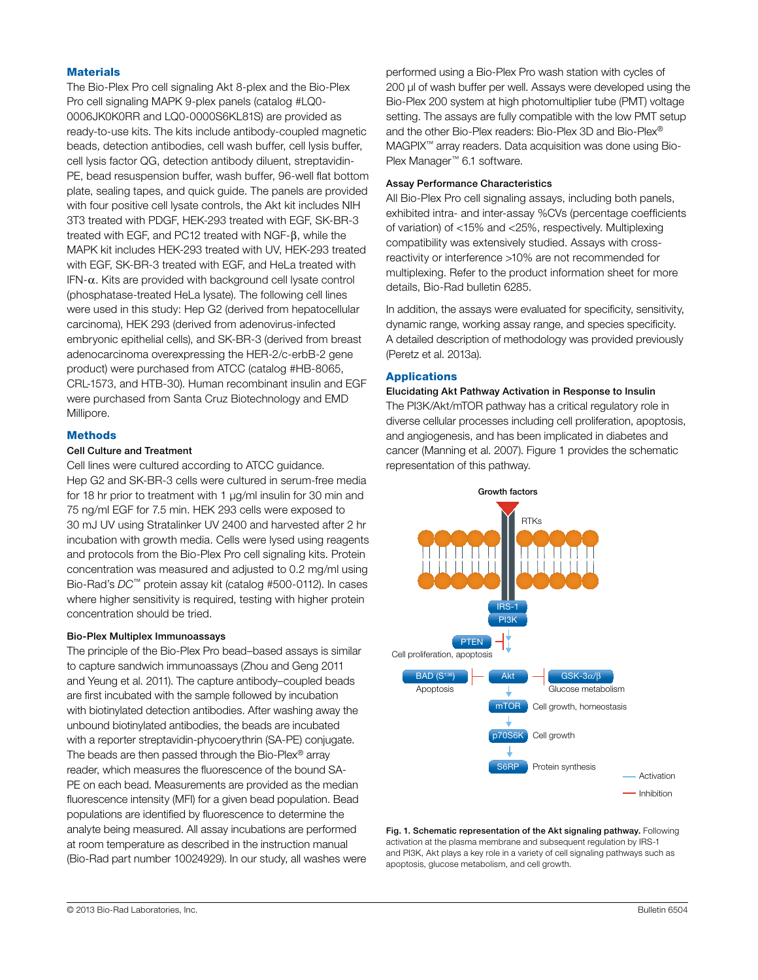#### **Materials**

The Bio-Plex Pro cell signaling Akt 8-plex and the Bio-Plex Pro cell signaling MAPK 9-plex panels (catalog #LQ0- 0006JK0K0RR and LQ0-0000S6KL81S) are provided as ready-to-use kits. The kits include antibody-coupled magnetic beads, detection antibodies, cell wash buffer, cell lysis buffer, cell lysis factor QG, detection antibody diluent, streptavidin-PE, bead resuspension buffer, wash buffer, 96-well flat bottom plate, sealing tapes, and quick guide. The panels are provided with four positive cell lysate controls, the Akt kit includes NIH 3T3 treated with PDGF, HEK-293 treated with EGF, SK-BR-3 treated with EGF, and PC12 treated with NGF-b, while the MAPK kit includes HEK-293 treated with UV, HEK-293 treated with EGF, SK-BR-3 treated with EGF, and HeLa treated with  $IFN-\alpha$ . Kits are provided with background cell lysate control (phosphatase-treated HeLa lysate). The following cell lines were used in this study: Hep G2 (derived from hepatocellular carcinoma), HEK 293 (derived from adenovirus-infected embryonic epithelial cells), and SK-BR-3 (derived from breast adenocarcinoma overexpressing the HER-2/c-erbB-2 gene product) were purchased from ATCC (catalog #HB-8065, CRL-1573, and HTB-30). Human recombinant insulin and EGF were purchased from Santa Cruz Biotechnology and EMD Millipore.

#### Methods

#### Cell Culture and Treatment

Cell lines were cultured according to ATCC guidance. Hep G2 and SK-BR-3 cells were cultured in serum-free media for 18 hr prior to treatment with 1 µg/ml insulin for 30 min and 75 ng/ml EGF for 7.5 min. HEK 293 cells were exposed to 30 mJ UV using Stratalinker UV 2400 and harvested after 2 hr incubation with growth media. Cells were lysed using reagents and protocols from the Bio-Plex Pro cell signaling kits. Protein concentration was measured and adjusted to 0.2 mg/ml using Bio-Rad's *DC*™ protein assay kit (catalog #500-0112). In cases where higher sensitivity is required, testing with higher protein concentration should be tried.

#### Bio-Plex Multiplex Immunoassays

The principle of the Bio-Plex Pro bead–based assays is similar to capture sandwich immunoassays (Zhou and Geng 2011 and Yeung et al. 2011). The capture antibody–coupled beads are first incubated with the sample followed by incubation with biotinylated detection antibodies. After washing away the unbound biotinylated antibodies, the beads are incubated with a reporter streptavidin-phycoerythrin (SA-PE) conjugate. The beads are then passed through the Bio-Plex® array reader, which measures the fluorescence of the bound SA-PE on each bead. Measurements are provided as the median fluorescence intensity (MFI) for a given bead population. Bead populations are identified by fluorescence to determine the analyte being measured. All assay incubations are performed at room temperature as described in the instruction manual (Bio-Rad part number 10024929). In our study, all washes were

performed using a Bio-Plex Pro wash station with cycles of 200 µl of wash buffer per well. Assays were developed using the Bio-Plex 200 system at high photomultiplier tube (PMT) voltage setting. The assays are fully compatible with the low PMT setup and the other Bio-Plex readers: Bio-Plex 3D and Bio-Plex® MAGPIX™ array readers. Data acquisition was done using Bio-Plex Manager™ 6.1 software.

### Assay Performance Characteristics

All Bio-Plex Pro cell signaling assays, including both panels, exhibited intra- and inter-assay %CVs (percentage coefficients of variation) of <15% and <25%, respectively. Multiplexing compatibility was extensively studied. Assays with crossreactivity or interference >10% are not recommended for multiplexing. Refer to the product information sheet for more details, Bio-Rad bulletin 6285.

In addition, the assays were evaluated for specificity, sensitivity, dynamic range, working assay range, and species specificity. A detailed description of methodology was provided previously (Peretz et al. 2013a).

#### Applications

#### Elucidating Akt Pathway Activation in Response to Insulin

The PI3K/Akt/mTOR pathway has a critical regulatory role in diverse cellular processes including cell proliferation, apoptosis, and angiogenesis, and has been implicated in diabetes and cancer (Manning et al. 2007). Figure 1 provides the schematic representation of this pathway.



Fig. 1. Schematic representation of the Akt signaling pathway. Following activation at the plasma membrane and subsequent regulation by IRS-1 and PI3K, Akt plays a key role in a variety of cell signaling pathways such as apoptosis, glucose metabolism, and cell growth.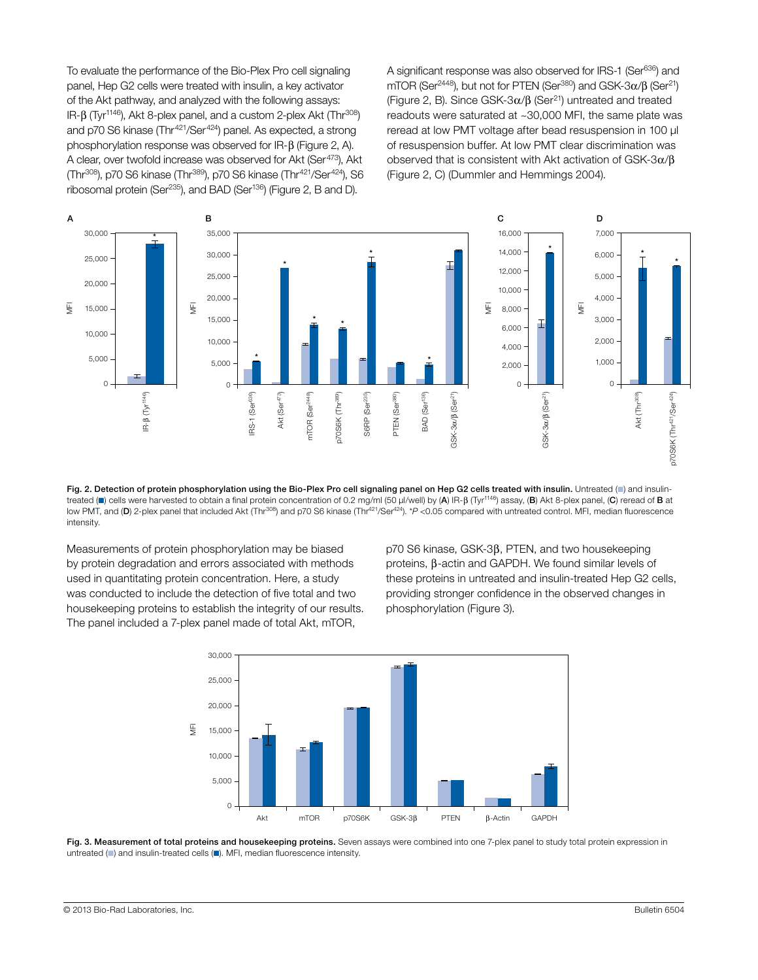To evaluate the performance of the Bio-Plex Pro cell signaling panel, Hep G2 cells were treated with insulin, a key activator of the Akt pathway, and analyzed with the following assays: IR-β (Tyr<sup>1146</sup>), Akt 8-plex panel, and a custom 2-plex Akt (Thr<sup>308</sup>) and p70 S6 kinase (Thr<sup>421</sup>/Ser<sup>424</sup>) panel. As expected, a strong phosphorylation response was observed for IR- $\beta$  (Figure 2, A). A clear, over twofold increase was observed for Akt (Ser<sup>473</sup>), Akt (Thr<sup>308</sup>), p70 S6 kinase (Thr<sup>389</sup>), p70 S6 kinase (Thr<sup>421</sup>/Ser<sup>424</sup>), S6 ribosomal protein (Ser<sup>235</sup>), and BAD (Ser<sup>136</sup>) (Figure 2, B and D).

A significant response was also observed for IRS-1 (Ser<sup>636</sup>) and mTOR (Ser<sup>2448</sup>), but not for PTEN (Ser<sup>380</sup>) and GSK-3 $\alpha$ / $\beta$  (Ser<sup>21</sup>) (Figure 2, B). Since GSK-3 $\alpha$ / $\beta$  (Ser<sup>21</sup>) untreated and treated readouts were saturated at ~30,000 MFI, the same plate was reread at low PMT voltage after bead resuspension in 100 µl of resuspension buffer. At low PMT clear discrimination was observed that is consistent with Akt activation of GSK- $3\alpha/\beta$ (Figure 2, C) (Dummler and Hemmings 2004).



Fig. 2. Detection of protein phosphorylation using the Bio-Plex Pro cell signaling panel on Hep G2 cells treated with insulin. Untreated (iii) and insulintreated ( $\blacksquare$ ) cells were harvested to obtain a final protein concentration of 0.2 mg/ml (50 µl/well) by (A) IR-B (Tyr<sup>1146</sup>) assay, (B) Akt 8-plex panel, (C) reread of **B** at low PMT, and (D) 2-plex panel that included Akt (Thr<sup>308</sup>) and p70 S6 kinase (Thr<sup>421</sup>/Ser<sup>424</sup>). \**P* <0.05 compared with untreated control. MFI, median fluorescence intensity.

Measurements of protein phosphorylation may be biased by protein degradation and errors associated with methods used in quantitating protein concentration. Here, a study was conducted to include the detection of five total and two housekeeping proteins to establish the integrity of our results. The panel included a 7-plex panel made of total Akt, mTOR,

 $p70$  S6 kinase, GSK-3 $\beta$ , PTEN, and two housekeeping proteins,  $\beta$ -actin and GAPDH. We found similar levels of these proteins in untreated and insulin-treated Hep G2 cells, providing stronger confidence in the observed changes in phosphorylation (Figure 3).



Fig. 3. Measurement of total proteins and housekeeping proteins. Seven assays were combined into one 7-plex panel to study total protein expression in untreated  $($  and insulin-treated cells  $($   $)$ . MFI, median fluorescence intensity.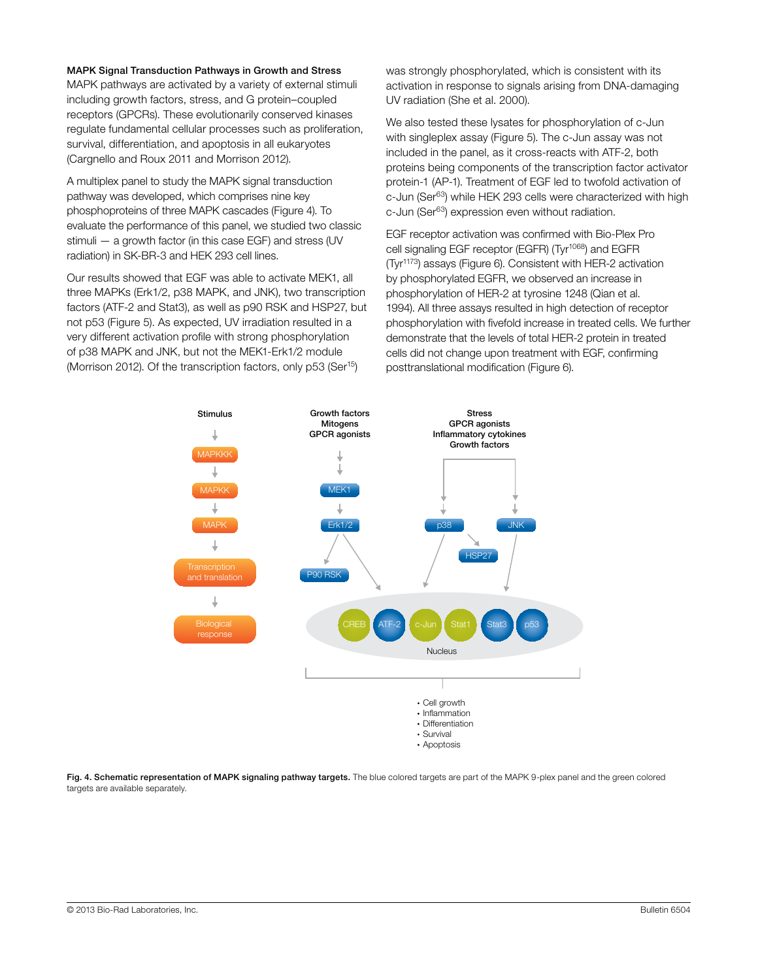#### MAPK Signal Transduction Pathways in Growth and Stress

MAPK pathways are activated by a variety of external stimuli including growth factors, stress, and G protein-coupled receptors (GPCRs). These evolutionarily conserved kinases Messing that regulate fundamental cellular processes such as proliferation, we also tested to survival, differentiation, and apoptosis in all eukaryotes (Cargnello and Roux 2011 and Morrison 2012).

A multiplex panel to study the MAPK signal transduction pathway was developed, which comprises nine key phosphoproteins of three MAPK cascades (Figure 4). To evaluate the performance of this panel, we studied two classic stimuli — a growth factor (in this case EGF) and stress (UV radiation) in SK-BR-3 and HEK 293 cell lines.

Our results showed that EGF was able to activate MEK1, all three MAPKs (Erk1/2, p38 MAPK, and JNK), two transcription factors (ATF-2 and Stat3), as well as p90 RSK and HSP27, but not p53 (Figure 5). As expected, UV irradiation resulted in a very different activation profile with strong phosphorylation of p38 MAPK and JNK, but not the MEK1-Erk1/2 module (Morrison 2012). Of the transcription factors, only p53 (Ser<sup>15</sup>)

was strongly phosphorylated, which is consistent with its activation in response to signals arising from DNA-damaging UV radiation (She et al. 2000).

We also tested these lysates for phosphorylation of c-Jun with singleplex assay (Figure 5). The c-Jun assay was not included in the panel, as it cross-reacts with ATF-2, both proteins being components of the transcription factor activator protein-1 (AP-1). Treatment of EGF led to twofold activation of c-Jun (Ser<sup>63</sup>) while HEK 293 cells were characterized with high c-Jun (Ser<sup>63</sup>) expression even without radiation.

EGF receptor activation was confirmed with Bio-Plex Pro cell signaling EGF receptor (EGFR) (Tyr<sup>1068</sup>) and EGFR (Tyr1173) assays (Figure 6). Consistent with HER-2 activation by phosphorylated EGFR, we observed an increase in phosphorylation of HER-2 at tyrosine 1248 (Qian et al. 1994). All three assays resulted in high detection of receptor phosphorylation with fivefold increase in treated cells. We further demonstrate that the levels of total HER-2 protein in treated cells did not change upon treatment with EGF, confirming posttranslational modification (Figure 6).



Fig. 4. Schematic representation of MAPK signaling pathway targets. The blue colored targets are part of the MAPK 9-plex panel and the green colored targets are available separately.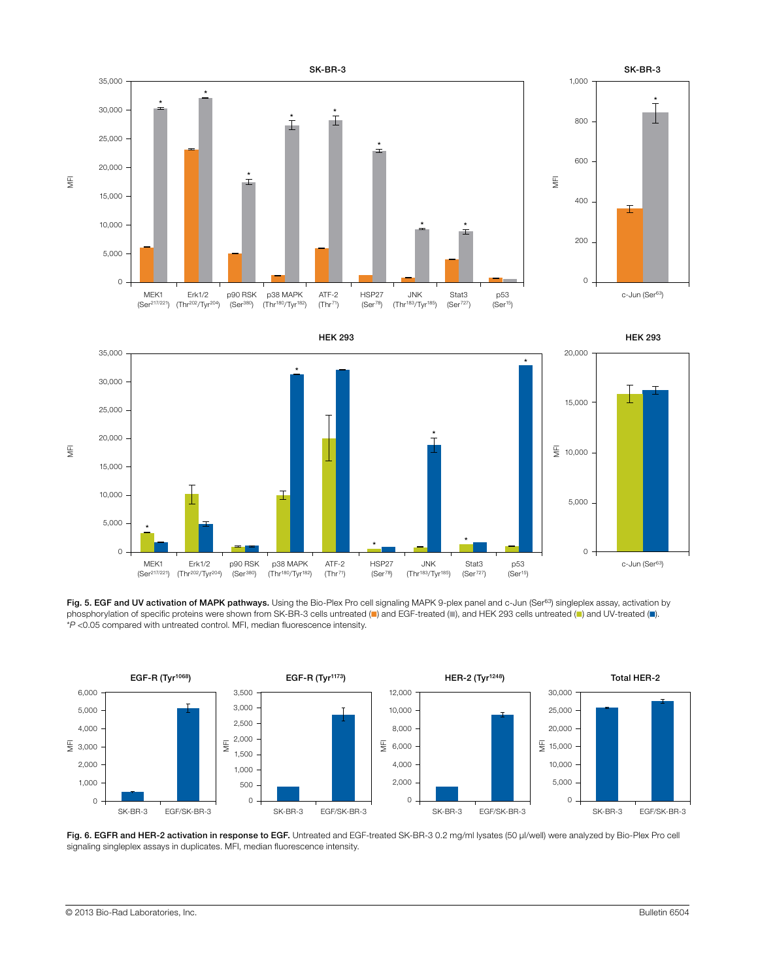

Fig. 5. EGF and UV activation of MAPK pathways. Using the Bio-Plex Pro cell signaling MAPK 9-plex panel and c-Jun (Ser<sup>63</sup>) singleplex assay, activation by phosphorylation of specific proteins were shown from SK-BR-3 cells untreated (=) and EGF-treated (=), and HEK 293 cells untreated (=) and UV-treated (=). \**P* <0.05 compared with untreated control. MFI, median fluorescence intensity.



Fig. 6. EGFR and HER-2 activation in response to EGF. Untreated and EGF-treated SK-BR-3 0.2 mg/ml lysates (50 µl/well) were analyzed by Bio-Plex Pro cell signaling singleplex assays in duplicates. MFI, median fluorescence intensity.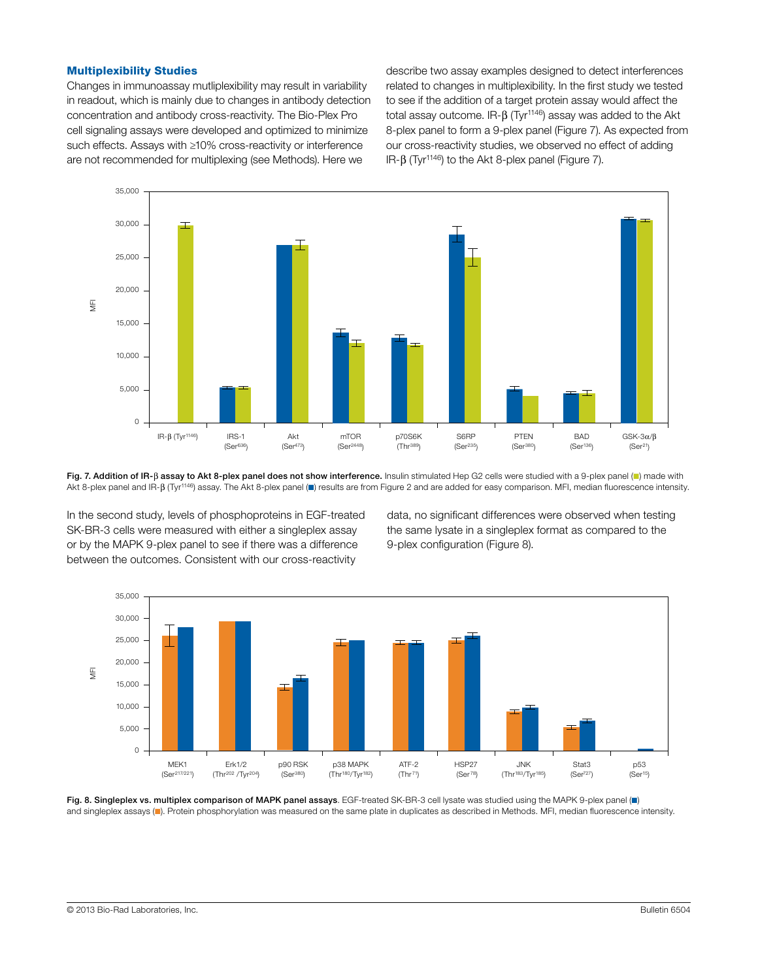#### Multiplexibility Studies

Changes in immunoassay mutliplexibility may result in variability in readout, which is mainly due to changes in antibody detection concentration and antibody cross-reactivity. The Bio-Plex Pro cell signaling assays were developed and optimized to minimize such effects. Assays with ≥10% cross-reactivity or interference are not recommended for multiplexing (see Methods). Here we

describe two assay examples designed to detect interferences related to changes in multiplexibility. In the first study we tested to see if the addition of a target protein assay would affect the total assay outcome.  $IR-\beta$  (Tyr<sup>1146</sup>) assay was added to the Akt 8-plex panel to form a 9-plex panel (Figure 7). As expected from our cross-reactivity studies, we observed no effect of adding IR-β (Tyr<sup>1146</sup>) to the Akt 8-plex panel (Figure 7).



Fig. 7. Addition of IR-ß assay to Akt 8-plex panel does not show interference. Insulin stimulated Hep G2 cells were studied with a 9-plex panel (=) made with Akt 8-plex panel and IR-B (Tyr<sup>1146</sup>) assay. The Akt 8-plex panel (.) results are from Figure 2 and are added for easy comparison. MFI, median fluorescence intensity.

In the second study, levels of phosphoproteins in EGF-treated SK-BR-3 cells were measured with either a singleplex assay or by the MAPK 9-plex panel to see if there was a difference between the outcomes. Consistent with our cross-reactivity

data, no significant differences were observed when testing the same lysate in a singleplex format as compared to the 9-plex configuration (Figure 8).



Fig. 8. Singleplex vs. multiplex comparison of MAPK panel assays. EGF-treated SK-BR-3 cell lysate was studied using the MAPK 9-plex panel (.) and singleplex assays (n). Protein phosphorylation was measured on the same plate in duplicates as described in Methods. MFI, median fluorescence intensity.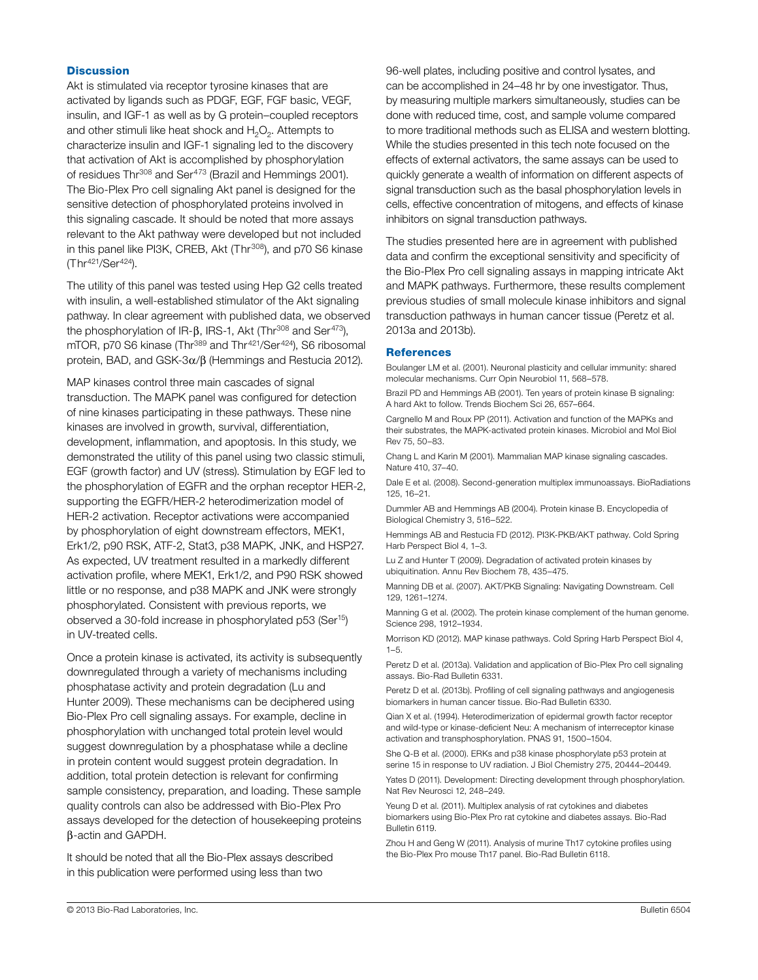#### **Discussion**

Akt is stimulated via receptor tyrosine kinases that are activated by ligands such as PDGF, EGF, FGF basic, VEGF, insulin, and IGF-1 as well as by G protein–coupled receptors and other stimuli like heat shock and  $H_2O_2$ . Attempts to characterize insulin and IGF-1 signaling led to the discovery that activation of Akt is accomplished by phosphorylation of residues Thr<sup>308</sup> and Ser<sup>473</sup> (Brazil and Hemmings 2001). The Bio-Plex Pro cell signaling Akt panel is designed for the sensitive detection of phosphorylated proteins involved in this signaling cascade. It should be noted that more assays relevant to the Akt pathway were developed but not included in this panel like PI3K, CREB, Akt (Thr<sup>308</sup>), and p70 S6 kinase (Thr421/Ser424).

The utility of this panel was tested using Hep G2 cells treated with insulin, a well-established stimulator of the Akt signaling pathway. In clear agreement with published data, we observed the phosphorylation of IR- $\beta$ , IRS-1, Akt (Thr<sup>308</sup> and Ser<sup>473</sup>), mTOR, p70 S6 kinase (Thr<sup>389</sup> and Thr<sup>421</sup>/Ser<sup>424</sup>), S6 ribosomal protein, BAD, and GSK- $3\alpha/\beta$  (Hemmings and Restucia 2012).

MAP kinases control three main cascades of signal transduction. The MAPK panel was configured for detection of nine kinases participating in these pathways. These nine kinases are involved in growth, survival, differentiation, development, inflammation, and apoptosis. In this study, we demonstrated the utility of this panel using two classic stimuli, EGF (growth factor) and UV (stress). Stimulation by EGF led to the phosphorylation of EGFR and the orphan receptor HER-2, supporting the EGFR/HER-2 heterodimerization model of HER-2 activation. Receptor activations were accompanied by phosphorylation of eight downstream effectors, MEK1, Erk1/2, p90 RSK, ATF-2, Stat3, p38 MAPK, JNK, and HSP27. As expected, UV treatment resulted in a markedly different activation profile, where MEK1, Erk1/2, and P90 RSK showed little or no response, and p38 MAPK and JNK were strongly phosphorylated. Consistent with previous reports, we observed a 30-fold increase in phosphorylated p53 (Ser15) in UV-treated cells.

Once a protein kinase is activated, its activity is subsequently downregulated through a variety of mechanisms including phosphatase activity and protein degradation (Lu and Hunter 2009). These mechanisms can be deciphered using Bio-Plex Pro cell signaling assays. For example, decline in phosphorylation with unchanged total protein level would suggest downregulation by a phosphatase while a decline in protein content would suggest protein degradation. In addition, total protein detection is relevant for confirming sample consistency, preparation, and loading. These sample quality controls can also be addressed with Bio-Plex Pro assays developed for the detection of housekeeping proteins b-actin and GAPDH.

It should be noted that all the Bio-Plex assays described in this publication were performed using less than two

96-well plates, including positive and control lysates, and can be accomplished in 24–48 hr by one investigator. Thus, by measuring multiple markers simultaneously, studies can be done with reduced time, cost, and sample volume compared to more traditional methods such as ELISA and western blotting. While the studies presented in this tech note focused on the effects of external activators, the same assays can be used to quickly generate a wealth of information on different aspects of signal transduction such as the basal phosphorylation levels in cells, effective concentration of mitogens, and effects of kinase inhibitors on signal transduction pathways.

The studies presented here are in agreement with published data and confirm the exceptional sensitivity and specificity of the Bio-Plex Pro cell signaling assays in mapping intricate Akt and MAPK pathways. Furthermore, these results complement previous studies of small molecule kinase inhibitors and signal transduction pathways in human cancer tissue (Peretz et al. 2013a and 2013b).

#### **References**

Boulanger LM et al. (2001). Neuronal plasticity and cellular immunity: shared molecular mechanisms. Curr Opin Neurobiol 11, 568–578.

Brazil PD and Hemmings AB (2001). Ten years of protein kinase B signaling: A hard Akt to follow. Trends Biochem Sci 26, 657–664.

Cargnello M and Roux PP (2011). Activation and function of the MAPKs and their substrates, the MAPK-activated protein kinases. Microbiol and Mol Biol Rev 75, 50–83.

Chang L and Karin M (2001). Mammalian MAP kinase signaling cascades. Nature 410, 37–40.

Dale E et al. (2008). Second-generation multiplex immunoassays. BioRadiations 125, 16–21.

Dummler AB and Hemmings AB (2004). Protein kinase B. Encyclopedia of Biological Chemistry 3, 516–522.

Hemmings AB and Restucia FD (2012). PI3K-PKB/AKT pathway. Cold Spring Harb Perspect Biol 4, 1–3.

Lu Z and Hunter T (2009). Degradation of activated protein kinases by ubiquitination. Annu Rev Biochem 78, 435–475.

Manning DB et al. (2007). AKT/PKB Signaling: Navigating Downstream. Cell 129, 1261–1274.

Manning G et al. (2002). The protein kinase complement of the human genome. Science 298, 1912–1934.

Morrison KD (2012). MAP kinase pathways. Cold Spring Harb Perspect Biol 4, 1–5.

Peretz D et al. (2013a). Validation and application of Bio-Plex Pro cell signaling assays. Bio-Rad Bulletin 6331.

Peretz D et al. (2013b). Profiling of cell signaling pathways and angiogenesis biomarkers in human cancer tissue. Bio-Rad Bulletin 6330.

Qian X et al. (1994). Heterodimerization of epidermal growth factor receptor and wild-type or kinase-deficient Neu: A mechanism of interreceptor kinase activation and transphosphorylation. PNAS 91, 1500–1504.

She Q-B et al. (2000). ERKs and p38 kinase phosphorylate p53 protein at serine 15 in response to UV radiation. J Biol Chemistry 275, 20444–20449.

Yates D (2011). Development: Directing development through phosphorylation. Nat Rev Neurosci 12, 248–249.

Yeung D et al. (2011). Multiplex analysis of rat cytokines and diabetes biomarkers using Bio-Plex Pro rat cytokine and diabetes assays. Bio-Rad Bulletin 6119.

Zhou H and Geng W (2011). Analysis of murine Th17 cytokine profiles using the Bio-Plex Pro mouse Th17 panel. Bio-Rad Bulletin 6118.